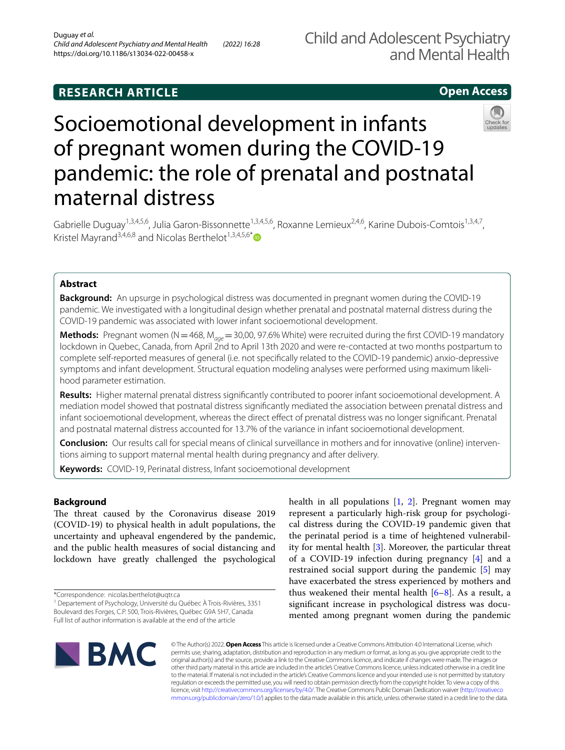# **RESEARCH ARTICLE**

## **Open Access**



# Socioemotional development in infants of pregnant women during the COVID-19 pandemic: the role of prenatal and postnatal maternal distress

Gabrielle Duguay<sup>1,3,4,5,6</sup>, Julia Garon-Bissonnette<sup>1,3,4,5,6</sup>, Roxanne Lemieux<sup>2,4,6</sup>, Karine Dubois-Comtois<sup>1,3,4,7</sup>, Kristel Mayrand<sup>3,4,6,8</sup> and Nicolas Berthelot<sup>1,3,4,5,6[\\*](http://orcid.org/0000-0001-6781-0460)</sup>

## **Abstract**

**Background:** An upsurge in psychological distress was documented in pregnant women during the COVID-19 pandemic. We investigated with a longitudinal design whether prenatal and postnatal maternal distress during the COVID-19 pandemic was associated with lower infant socioemotional development.

**Methods:** Pregnant women (N=468, M<sub>age</sub>=30,00, 97.6% White) were recruited during the first COVID-19 mandatory lockdown in Quebec, Canada, from April 2nd to April 13th 2020 and were re-contacted at two months postpartum to complete self-reported measures of general (i.e. not specifcally related to the COVID-19 pandemic) anxio-depressive symptoms and infant development. Structural equation modeling analyses were performed using maximum likelihood parameter estimation.

**Results:** Higher maternal prenatal distress signifcantly contributed to poorer infant socioemotional development. A mediation model showed that postnatal distress signifcantly mediated the association between prenatal distress and infant socioemotional development, whereas the direct efect of prenatal distress was no longer signifcant. Prenatal and postnatal maternal distress accounted for 13.7% of the variance in infant socioemotional development.

**Conclusion:** Our results call for special means of clinical surveillance in mothers and for innovative (online) interventions aiming to support maternal mental health during pregnancy and after delivery.

**Keywords:** COVID-19, Perinatal distress, Infant socioemotional development

### **Background**

The threat caused by the Coronavirus disease 2019 (COVID-19) to physical health in adult populations, the uncertainty and upheaval engendered by the pandemic, and the public health measures of social distancing and lockdown have greatly challenged the psychological health in all populations [\[1](#page-8-0), [2\]](#page-8-1). Pregnant women may represent a particularly high-risk group for psychological distress during the COVID-19 pandemic given that the perinatal period is a time of heightened vulnerability for mental health [\[3](#page-8-2)]. Moreover, the particular threat of a COVID-19 infection during pregnancy [\[4](#page-8-3)] and a restrained social support during the pandemic [\[5](#page-8-4)] may have exacerbated the stress experienced by mothers and thus weakened their mental health  $[6-8]$  $[6-8]$  $[6-8]$ . As a result, a signifcant increase in psychological distress was documented among pregnant women during the pandemic



© The Author(s) 2022. **Open Access** This article is licensed under a Creative Commons Attribution 4.0 International License, which permits use, sharing, adaptation, distribution and reproduction in any medium or format, as long as you give appropriate credit to the original author(s) and the source, provide a link to the Creative Commons licence, and indicate if changes were made. The images or other third party material in this article are included in the article's Creative Commons licence, unless indicated otherwise in a credit line to the material. If material is not included in the article's Creative Commons licence and your intended use is not permitted by statutory regulation or exceeds the permitted use, you will need to obtain permission directly from the copyright holder. To view a copy of this licence, visit [http://creativecommons.org/licenses/by/4.0/.](http://creativecommons.org/licenses/by/4.0/) The Creative Commons Public Domain Dedication waiver ([http://creativeco](http://creativecommons.org/publicdomain/zero/1.0/) [mmons.org/publicdomain/zero/1.0/](http://creativecommons.org/publicdomain/zero/1.0/)) applies to the data made available in this article, unless otherwise stated in a credit line to the data.

<sup>\*</sup>Correspondence: nicolas.berthelot@uqtr.ca

<sup>&</sup>lt;sup>1</sup> Departement of Psychology, Université du Québec À Trois-Rivières, 3351 Boulevard des Forges, C.P. 500, Trois‑Rivières, Québec G9A 5H7, Canada Full list of author information is available at the end of the article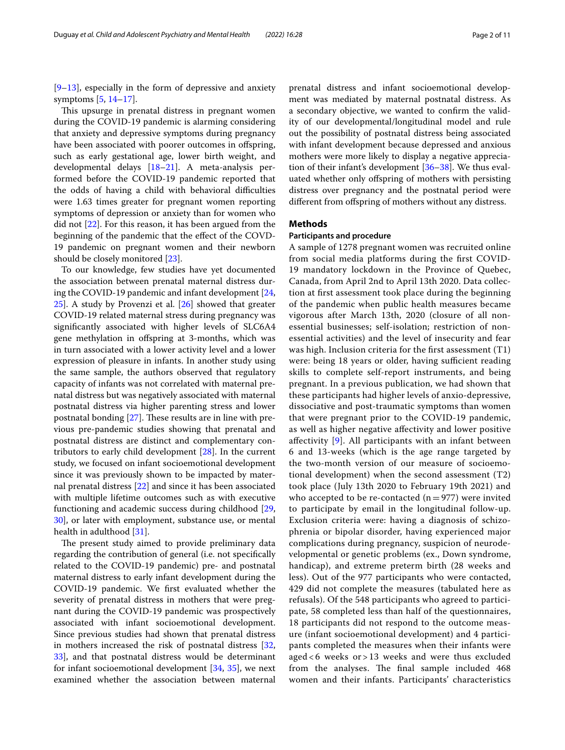[[9–](#page-8-7)[13\]](#page-8-8), especially in the form of depressive and anxiety symptoms [\[5](#page-8-4), [14–](#page-8-9)[17\]](#page-8-10).

This upsurge in prenatal distress in pregnant women during the COVID-19 pandemic is alarming considering that anxiety and depressive symptoms during pregnancy have been associated with poorer outcomes in offspring, such as early gestational age, lower birth weight, and developmental delays [[18–](#page-8-11)[21\]](#page-9-0). A meta-analysis performed before the COVID-19 pandemic reported that the odds of having a child with behavioral difficulties were 1.63 times greater for pregnant women reporting symptoms of depression or anxiety than for women who did not [\[22](#page-9-1)]. For this reason, it has been argued from the beginning of the pandemic that the efect of the COVD-19 pandemic on pregnant women and their newborn should be closely monitored [\[23\]](#page-9-2).

To our knowledge, few studies have yet documented the association between prenatal maternal distress during the COVID-19 pandemic and infant development [\[24](#page-9-3), [25\]](#page-9-4). A study by Provenzi et al. [\[26\]](#page-9-5) showed that greater COVID-19 related maternal stress during pregnancy was signifcantly associated with higher levels of SLC6A4 gene methylation in ofspring at 3-months, which was in turn associated with a lower activity level and a lower expression of pleasure in infants. In another study using the same sample, the authors observed that regulatory capacity of infants was not correlated with maternal prenatal distress but was negatively associated with maternal postnatal distress via higher parenting stress and lower postnatal bonding  $[27]$  $[27]$ . These results are in line with previous pre-pandemic studies showing that prenatal and postnatal distress are distinct and complementary contributors to early child development [\[28](#page-9-7)]. In the current study, we focused on infant socioemotional development since it was previously shown to be impacted by maternal prenatal distress [[22](#page-9-1)] and since it has been associated with multiple lifetime outcomes such as with executive functioning and academic success during childhood [\[29](#page-9-8), [30\]](#page-9-9), or later with employment, substance use, or mental health in adulthood [\[31](#page-9-10)].

The present study aimed to provide preliminary data regarding the contribution of general (i.e. not specifcally related to the COVID-19 pandemic) pre- and postnatal maternal distress to early infant development during the COVID-19 pandemic. We frst evaluated whether the severity of prenatal distress in mothers that were pregnant during the COVID-19 pandemic was prospectively associated with infant socioemotional development. Since previous studies had shown that prenatal distress in mothers increased the risk of postnatal distress [\[32](#page-9-11), [33\]](#page-9-12), and that postnatal distress would be determinant for infant socioemotional development [[34](#page-9-13), [35\]](#page-9-14), we next examined whether the association between maternal prenatal distress and infant socioemotional development was mediated by maternal postnatal distress. As a secondary objective, we wanted to confrm the validity of our developmental/longitudinal model and rule out the possibility of postnatal distress being associated with infant development because depressed and anxious mothers were more likely to display a negative appreciation of their infant's development [\[36–](#page-9-15)[38\]](#page-9-16). We thus evaluated whether only ofspring of mothers with persisting distress over pregnancy and the postnatal period were diferent from ofspring of mothers without any distress.

#### **Methods**

#### **Participants and procedure**

A sample of 1278 pregnant women was recruited online from social media platforms during the frst COVID-19 mandatory lockdown in the Province of Quebec, Canada, from April 2nd to April 13th 2020. Data collection at frst assessment took place during the beginning of the pandemic when public health measures became vigorous after March 13th, 2020 (closure of all nonessential businesses; self-isolation; restriction of nonessential activities) and the level of insecurity and fear was high. Inclusion criteria for the frst assessment (T1) were: being 18 years or older, having sufficient reading skills to complete self-report instruments, and being pregnant. In a previous publication, we had shown that these participants had higher levels of anxio-depressive, dissociative and post-traumatic symptoms than women that were pregnant prior to the COVID-19 pandemic, as well as higher negative afectivity and lower positive afectivity [\[9](#page-8-7)]. All participants with an infant between 6 and 13-weeks (which is the age range targeted by the two-month version of our measure of socioemotional development) when the second assessment (T2) took place (July 13th 2020 to February 19th 2021) and who accepted to be re-contacted  $(n=977)$  were invited to participate by email in the longitudinal follow-up. Exclusion criteria were: having a diagnosis of schizophrenia or bipolar disorder, having experienced major complications during pregnancy, suspicion of neurodevelopmental or genetic problems (ex., Down syndrome, handicap), and extreme preterm birth (28 weeks and less). Out of the 977 participants who were contacted, 429 did not complete the measures (tabulated here as refusals). Of the 548 participants who agreed to participate, 58 completed less than half of the questionnaires, 18 participants did not respond to the outcome measure (infant socioemotional development) and 4 participants completed the measures when their infants were aged < 6 weeks or > 13 weeks and were thus excluded from the analyses. The final sample included 468 women and their infants. Participants' characteristics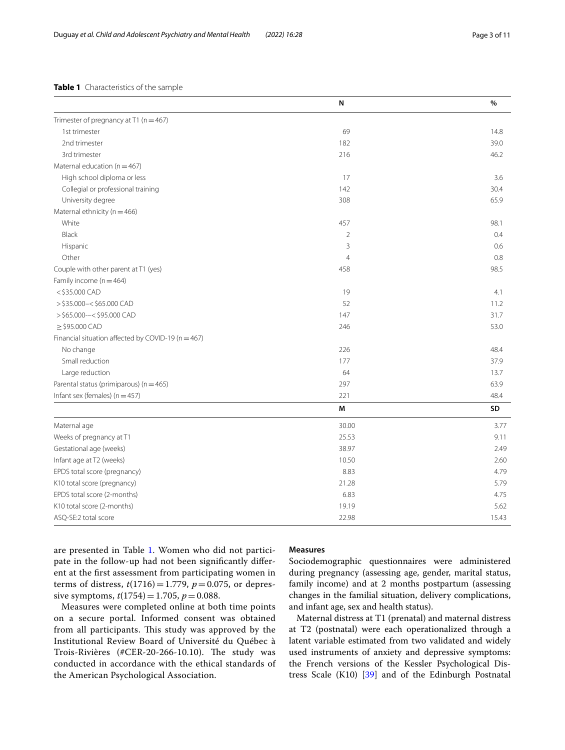#### <span id="page-2-0"></span>**Table 1** Characteristics of the sample

|                                                        | N              | %     |
|--------------------------------------------------------|----------------|-------|
| Trimester of pregnancy at T1 ( $n = 467$ )             |                |       |
| 1st trimester                                          | 69             | 14.8  |
| 2nd trimester                                          | 182            | 39.0  |
| 3rd trimester                                          | 216            | 46.2  |
| Maternal education ( $n = 467$ )                       |                |       |
| High school diploma or less                            | 17             | 3.6   |
| Collegial or professional training                     | 142            | 30.4  |
| University degree                                      | 308            | 65.9  |
| Maternal ethnicity ( $n = 466$ )                       |                |       |
| White                                                  | 457            | 98.1  |
| Black                                                  | $\overline{2}$ | 0.4   |
| Hispanic                                               | 3              | 0.6   |
| Other                                                  | $\overline{4}$ | 0.8   |
| Couple with other parent at T1 (yes)                   | 458            | 98.5  |
| Family income $(n = 464)$                              |                |       |
| <\$35.000 CAD                                          | 19             | 4.1   |
| $>$ \$35.000 - < \$65.000 CAD                          | 52             | 11.2  |
| $>$ \$65.000 --< \$95.000 CAD                          | 147            | 31.7  |
| $\ge$ \$95.000 CAD                                     | 246            | 53.0  |
| Financial situation affected by COVID-19 ( $n = 467$ ) |                |       |
| No change                                              | 226            | 48.4  |
| Small reduction                                        | 177            | 37.9  |
| Large reduction                                        | 64             | 13.7  |
| Parental status (primiparous) (n = 465)                | 297            | 63.9  |
| Infant sex (females) ( $n = 457$ )                     | 221            | 48.4  |
|                                                        | M              | SD    |
| Maternal age                                           | 30.00          | 3.77  |
| Weeks of pregnancy at T1                               | 25.53          | 9.11  |
| Gestational age (weeks)                                | 38.97          | 2.49  |
| Infant age at T2 (weeks)                               | 10.50          | 2.60  |
| EPDS total score (pregnancy)                           | 8.83           | 4.79  |
| K10 total score (pregnancy)                            | 21.28          | 5.79  |
| EPDS total score (2-months)                            | 6.83           | 4.75  |
| K10 total score (2-months)                             | 19.19          | 5.62  |
| ASQ-SE:2 total score                                   | 22.98          | 15.43 |

are presented in Table [1](#page-2-0). Women who did not participate in the follow-up had not been signifcantly diferent at the frst assessment from participating women in terms of distress,  $t(1716) = 1.779$ ,  $p = 0.075$ , or depressive symptoms,  $t(1754) = 1.705$ ,  $p = 0.088$ .

Measures were completed online at both time points on a secure portal. Informed consent was obtained from all participants. This study was approved by the Institutional Review Board of Université du Québec à Trois-Rivières (#CER-20-266-10.10). The study was conducted in accordance with the ethical standards of the American Psychological Association.

#### **Measures**

Sociodemographic questionnaires were administered during pregnancy (assessing age, gender, marital status, family income) and at 2 months postpartum (assessing changes in the familial situation, delivery complications, and infant age, sex and health status).

Maternal distress at T1 (prenatal) and maternal distress at T2 (postnatal) were each operationalized through a latent variable estimated from two validated and widely used instruments of anxiety and depressive symptoms: the French versions of the Kessler Psychological Distress Scale (K10) [[39\]](#page-9-17) and of the Edinburgh Postnatal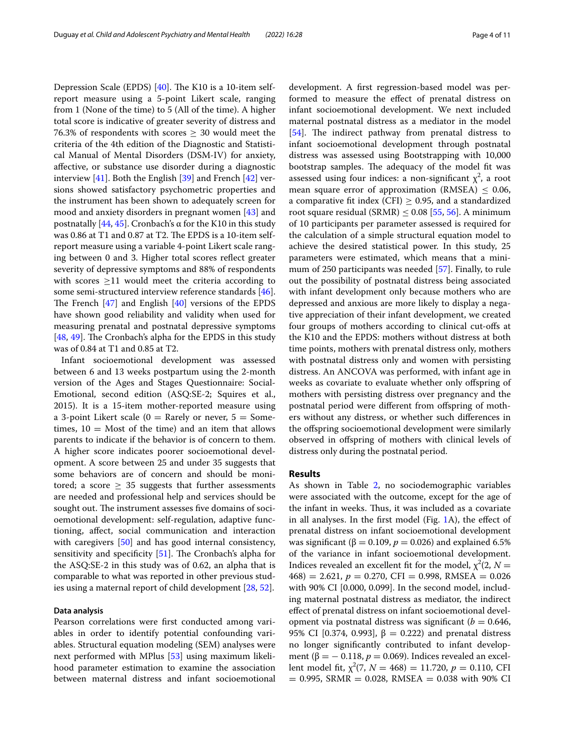Depression Scale (EPDS) [[40\]](#page-9-18). The K10 is a 10-item selfreport measure using a 5-point Likert scale, ranging from 1 (None of the time) to 5 (All of the time). A higher total score is indicative of greater severity of distress and 76.3% of respondents with scores  $\geq$  30 would meet the criteria of the 4th edition of the Diagnostic and Statistical Manual of Mental Disorders (DSM-IV) for anxiety, afective, or substance use disorder during a diagnostic interview [[41\]](#page-9-19). Both the English [[39\]](#page-9-17) and French [\[42\]](#page-9-20) versions showed satisfactory psychometric properties and the instrument has been shown to adequately screen for mood and anxiety disorders in pregnant women [[43\]](#page-9-21) and postnatally [[44,](#page-9-22) [45\]](#page-9-23). Cronbach's α for the K10 in this study was 0.86 at T1 and 0.87 at T2. The EPDS is a 10-item selfreport measure using a variable 4-point Likert scale ranging between 0 and 3. Higher total scores refect greater severity of depressive symptoms and 88% of respondents with scores  $\geq$ 11 would meet the criteria according to some semi-structured interview reference standards [\[46](#page-9-24)]. The French  $[47]$  $[47]$  and English  $[40]$  $[40]$  versions of the EPDS have shown good reliability and validity when used for measuring prenatal and postnatal depressive symptoms [ $48, 49$  $48, 49$  $48, 49$ ]. The Cronbach's alpha for the EPDS in this study was of 0.84 at T1 and 0.85 at T2.

Infant socioemotional development was assessed between 6 and 13 weeks postpartum using the 2-month version of the Ages and Stages Questionnaire: Social-Emotional, second edition (ASQ:SE-2; Squires et al., 2015). It is a 15-item mother-reported measure using a 3-point Likert scale ( $0 =$  Rarely or never,  $5 =$  Sometimes,  $10 =$  Most of the time) and an item that allows parents to indicate if the behavior is of concern to them. A higher score indicates poorer socioemotional development. A score between 25 and under 35 suggests that some behaviors are of concern and should be monitored; a score  $\geq$  35 suggests that further assessments are needed and professional help and services should be sought out. The instrument assesses five domains of socioemotional development: self-regulation, adaptive functioning, afect, social communication and interaction with caregivers [\[50](#page-9-28)] and has good internal consistency, sensitivity and specificity  $[51]$  $[51]$ . The Cronbach's alpha for the ASQ:SE-2 in this study was of 0.62, an alpha that is comparable to what was reported in other previous studies using a maternal report of child development [[28](#page-9-7), [52\]](#page-9-30).

#### **Data analysis**

Pearson correlations were frst conducted among variables in order to identify potential confounding variables. Structural equation modeling (SEM) analyses were next performed with MPlus [[53\]](#page-9-31) using maximum likelihood parameter estimation to examine the association between maternal distress and infant socioemotional development. A frst regression-based model was performed to measure the efect of prenatal distress on infant socioemotional development. We next included maternal postnatal distress as a mediator in the model [[54\]](#page-9-32). The indirect pathway from prenatal distress to infant socioemotional development through postnatal distress was assessed using Bootstrapping with 10,000 bootstrap samples. The adequacy of the model fit was assessed using four indices: a non-significant  $\chi^2$ , a root mean square error of approximation (RMSEA)  $\leq$  0.06, a comparative fit index (CFI)  $\geq$  0.95, and a standardized root square residual (SRMR)  $\leq$  0.08 [\[55](#page-9-33), [56\]](#page-9-34). A minimum of 10 participants per parameter assessed is required for the calculation of a simple structural equation model to achieve the desired statistical power. In this study, 25 parameters were estimated, which means that a minimum of 250 participants was needed [\[57](#page-9-35)]. Finally, to rule out the possibility of postnatal distress being associated with infant development only because mothers who are depressed and anxious are more likely to display a negative appreciation of their infant development, we created four groups of mothers according to clinical cut-ofs at the K10 and the EPDS: mothers without distress at both time points, mothers with prenatal distress only, mothers with postnatal distress only and women with persisting distress. An ANCOVA was performed, with infant age in weeks as covariate to evaluate whether only offspring of mothers with persisting distress over pregnancy and the postnatal period were different from offspring of mothers without any distress, or whether such diferences in the ofspring socioemotional development were similarly observed in ofspring of mothers with clinical levels of distress only during the postnatal period.

#### **Results**

As shown in Table [2,](#page-4-0) no sociodemographic variables were associated with the outcome, except for the age of the infant in weeks. Thus, it was included as a covariate in all analyses. In the frst model (Fig. [1](#page-5-0)A), the efect of prenatal distress on infant socioemotional development was significant ( $β = 0.109$ ,  $p = 0.026$ ) and explained 6.5% of the variance in infant socioemotional development. Indices revealed an excellent fit for the model,  $\chi^2(2, N =$  $(468) = 2.621, p = 0.270, \text{CFI} = 0.998, \text{RMSEA} = 0.026$ with 90% CI [0.000, 0.099]. In the second model, including maternal postnatal distress as mediator, the indirect efect of prenatal distress on infant socioemotional development via postnatal distress was significant ( $b = 0.646$ , 95% CI [0.374, 0.993],  $β = 0.222$ ) and prenatal distress no longer signifcantly contributed to infant development (β =  $-$  0.118,  $p$  = 0.069). Indices revealed an excellent model fit,  $\chi^2(7, N = 468) = 11.720, p = 0.110, \text{CFI}$  $= 0.995$ , SRMR  $= 0.028$ , RMSEA  $= 0.038$  with 90% CI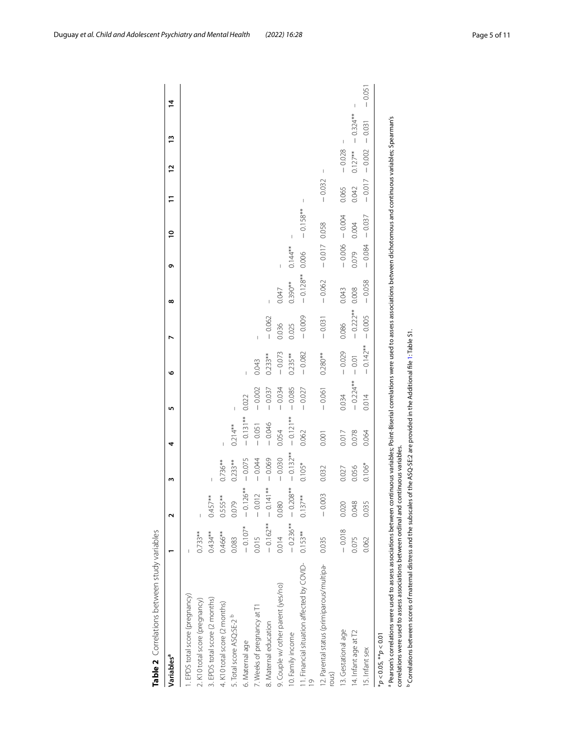| Pearson's correlations were used to assess associations between continuous variables; Point-Biserial correlations were used to assess associations between dichotomous and continuous variables; Spearman's<br>$0.127**$<br>$-0.002$<br>$-0.028$<br>I<br>$-0.017$<br>$-0.032$<br>0.042<br>0.065<br>$\begin{array}{c} \rule{0pt}{2ex} \rule{0pt}{2ex} \rule{0pt}{2ex} \rule{0pt}{2ex} \rule{0pt}{2ex} \rule{0pt}{2ex} \rule{0pt}{2ex} \rule{0pt}{2ex} \rule{0pt}{2ex} \rule{0pt}{2ex} \rule{0pt}{2ex} \rule{0pt}{2ex} \rule{0pt}{2ex} \rule{0pt}{2ex} \rule{0pt}{2ex} \rule{0pt}{2ex} \rule{0pt}{2ex} \rule{0pt}{2ex} \rule{0pt}{2ex} \rule{0pt}{2ex} \rule{0pt}{2ex} \rule{0pt}{2ex} \rule{0pt}{2ex} \rule{0pt}{$<br>$-0.158**$<br>$-0.004$<br>$-0.037$<br>0.004<br>0.058<br>I<br>$-0.006$<br>$-0.084$<br>$-0.017$<br>$0.144**$<br>0.079<br>0.006<br>$-0.128**$<br>$-0.062$<br>$-0.058$<br>$0.390**$<br>0.008<br>0.043<br>0.047<br>$-0.222$ **<br>$-0.005$<br>$-0.009$<br>$-0.062$<br>$-0.031$<br>0.086<br>0.036<br>0.025<br>$\overline{\phantom{a}}$<br>$0.142**$<br>$-0.029$<br>$-0.082$<br>$-0.073$<br>$0.235**$<br>$0.280**$<br>$0.233**$<br>$-0.01$<br>0.043<br>$-0.224**$<br>$-0.002$<br>$-0.034$<br>$-0.085$<br>$-0.027$<br>$-0.037$<br>$-0.061$<br>0.034<br>0.022<br>0.014<br>$-0.131**$<br>$-0.121**$<br>$-0.051$<br>$-0.046$<br>$0.214**$<br>0.054<br>0.062<br>0.017<br>0.078<br>0.064<br>0.001<br>correlations were used to assess associations between ordinal and continuous variables.<br>$-0.132**$<br>$-0.069$<br>$-0.030$<br>$-0.044$<br>$-0.075$<br>$0.233**$<br>$0.736**$<br>$0.105*$<br>$0.106*$<br>0.032<br>0.056<br>0.027<br>$-0.208**$<br>$-0.126**$<br>$-0.141**$<br>$-0.012$<br>$-0.003$<br>$0.137**$<br>$0.457***$<br>$0.555***$<br>0.079<br>0.080<br>0.020<br>0.048<br>0.035<br>$-0.162**$<br>$-0.236**$<br>$-0.107*$<br>$-0.018$<br>$0.153**$<br>$0.733**$<br>$0.434**$<br>$0.466***$<br>0.014<br>0.015<br>0.035<br>0.075<br>0.083<br>0.062<br>11. Financial situation affected by COVID-<br>2. Parental status (primiparous/multipa-<br>9. Couple w/ other parent (yes/no)<br>. EPDS total score (pregnancy)<br>EPDS total score (2 months)<br>2. K10 total score (pregnancy)<br>4. K10 total score (2 months)<br>7. Weeks of pregnancy at T1<br>5. Total score ASQ:SE-2 <sup>b</sup><br>8. Maternal education<br>3. Gestational age<br>4. Infant age at T2<br>0. Family income<br>$* p < 0.05, * p < 0.01$<br>6. Maternal age<br>5. Infant sex<br>rous) | Variablesª | $\mathbf{\tilde{c}}$ | m | 4 | In. | ৩ | ∞ | Ō | $\overline{a}$ | Ξ | $\overline{1}$           | $\tilde{5}$ | $\overline{4}$ |
|---------------------------------------------------------------------------------------------------------------------------------------------------------------------------------------------------------------------------------------------------------------------------------------------------------------------------------------------------------------------------------------------------------------------------------------------------------------------------------------------------------------------------------------------------------------------------------------------------------------------------------------------------------------------------------------------------------------------------------------------------------------------------------------------------------------------------------------------------------------------------------------------------------------------------------------------------------------------------------------------------------------------------------------------------------------------------------------------------------------------------------------------------------------------------------------------------------------------------------------------------------------------------------------------------------------------------------------------------------------------------------------------------------------------------------------------------------------------------------------------------------------------------------------------------------------------------------------------------------------------------------------------------------------------------------------------------------------------------------------------------------------------------------------------------------------------------------------------------------------------------------------------------------------------------------------------------------------------------------------------------------------------------------------------------------------------------------------------------------------------------------------------------------------------------------------------------------------------------------------------------------------------------------------------------------------------------------------------------------------------------------------------------------------------------------------------------------------------------------------|------------|----------------------|---|---|-----|---|---|---|----------------|---|--------------------------|-------------|----------------|
|                                                                                                                                                                                                                                                                                                                                                                                                                                                                                                                                                                                                                                                                                                                                                                                                                                                                                                                                                                                                                                                                                                                                                                                                                                                                                                                                                                                                                                                                                                                                                                                                                                                                                                                                                                                                                                                                                                                                                                                                                                                                                                                                                                                                                                                                                                                                                                                                                                                                                       |            |                      |   |   |     |   |   |   |                |   |                          |             |                |
|                                                                                                                                                                                                                                                                                                                                                                                                                                                                                                                                                                                                                                                                                                                                                                                                                                                                                                                                                                                                                                                                                                                                                                                                                                                                                                                                                                                                                                                                                                                                                                                                                                                                                                                                                                                                                                                                                                                                                                                                                                                                                                                                                                                                                                                                                                                                                                                                                                                                                       |            |                      |   |   |     |   |   |   |                |   |                          |             |                |
|                                                                                                                                                                                                                                                                                                                                                                                                                                                                                                                                                                                                                                                                                                                                                                                                                                                                                                                                                                                                                                                                                                                                                                                                                                                                                                                                                                                                                                                                                                                                                                                                                                                                                                                                                                                                                                                                                                                                                                                                                                                                                                                                                                                                                                                                                                                                                                                                                                                                                       |            |                      |   |   |     |   |   |   |                |   |                          |             |                |
|                                                                                                                                                                                                                                                                                                                                                                                                                                                                                                                                                                                                                                                                                                                                                                                                                                                                                                                                                                                                                                                                                                                                                                                                                                                                                                                                                                                                                                                                                                                                                                                                                                                                                                                                                                                                                                                                                                                                                                                                                                                                                                                                                                                                                                                                                                                                                                                                                                                                                       |            |                      |   |   |     |   |   |   |                |   |                          |             |                |
|                                                                                                                                                                                                                                                                                                                                                                                                                                                                                                                                                                                                                                                                                                                                                                                                                                                                                                                                                                                                                                                                                                                                                                                                                                                                                                                                                                                                                                                                                                                                                                                                                                                                                                                                                                                                                                                                                                                                                                                                                                                                                                                                                                                                                                                                                                                                                                                                                                                                                       |            |                      |   |   |     |   |   |   |                |   |                          |             |                |
|                                                                                                                                                                                                                                                                                                                                                                                                                                                                                                                                                                                                                                                                                                                                                                                                                                                                                                                                                                                                                                                                                                                                                                                                                                                                                                                                                                                                                                                                                                                                                                                                                                                                                                                                                                                                                                                                                                                                                                                                                                                                                                                                                                                                                                                                                                                                                                                                                                                                                       |            |                      |   |   |     |   |   |   |                |   |                          |             |                |
|                                                                                                                                                                                                                                                                                                                                                                                                                                                                                                                                                                                                                                                                                                                                                                                                                                                                                                                                                                                                                                                                                                                                                                                                                                                                                                                                                                                                                                                                                                                                                                                                                                                                                                                                                                                                                                                                                                                                                                                                                                                                                                                                                                                                                                                                                                                                                                                                                                                                                       |            |                      |   |   |     |   |   |   |                |   |                          |             |                |
|                                                                                                                                                                                                                                                                                                                                                                                                                                                                                                                                                                                                                                                                                                                                                                                                                                                                                                                                                                                                                                                                                                                                                                                                                                                                                                                                                                                                                                                                                                                                                                                                                                                                                                                                                                                                                                                                                                                                                                                                                                                                                                                                                                                                                                                                                                                                                                                                                                                                                       |            |                      |   |   |     |   |   |   |                |   |                          |             |                |
|                                                                                                                                                                                                                                                                                                                                                                                                                                                                                                                                                                                                                                                                                                                                                                                                                                                                                                                                                                                                                                                                                                                                                                                                                                                                                                                                                                                                                                                                                                                                                                                                                                                                                                                                                                                                                                                                                                                                                                                                                                                                                                                                                                                                                                                                                                                                                                                                                                                                                       |            |                      |   |   |     |   |   |   |                |   |                          |             |                |
|                                                                                                                                                                                                                                                                                                                                                                                                                                                                                                                                                                                                                                                                                                                                                                                                                                                                                                                                                                                                                                                                                                                                                                                                                                                                                                                                                                                                                                                                                                                                                                                                                                                                                                                                                                                                                                                                                                                                                                                                                                                                                                                                                                                                                                                                                                                                                                                                                                                                                       |            |                      |   |   |     |   |   |   |                |   |                          |             |                |
|                                                                                                                                                                                                                                                                                                                                                                                                                                                                                                                                                                                                                                                                                                                                                                                                                                                                                                                                                                                                                                                                                                                                                                                                                                                                                                                                                                                                                                                                                                                                                                                                                                                                                                                                                                                                                                                                                                                                                                                                                                                                                                                                                                                                                                                                                                                                                                                                                                                                                       |            |                      |   |   |     |   |   |   |                |   |                          |             |                |
|                                                                                                                                                                                                                                                                                                                                                                                                                                                                                                                                                                                                                                                                                                                                                                                                                                                                                                                                                                                                                                                                                                                                                                                                                                                                                                                                                                                                                                                                                                                                                                                                                                                                                                                                                                                                                                                                                                                                                                                                                                                                                                                                                                                                                                                                                                                                                                                                                                                                                       |            |                      |   |   |     |   |   |   |                |   |                          |             |                |
|                                                                                                                                                                                                                                                                                                                                                                                                                                                                                                                                                                                                                                                                                                                                                                                                                                                                                                                                                                                                                                                                                                                                                                                                                                                                                                                                                                                                                                                                                                                                                                                                                                                                                                                                                                                                                                                                                                                                                                                                                                                                                                                                                                                                                                                                                                                                                                                                                                                                                       |            |                      |   |   |     |   |   |   |                |   | $\overline{\phantom{a}}$ |             |                |
|                                                                                                                                                                                                                                                                                                                                                                                                                                                                                                                                                                                                                                                                                                                                                                                                                                                                                                                                                                                                                                                                                                                                                                                                                                                                                                                                                                                                                                                                                                                                                                                                                                                                                                                                                                                                                                                                                                                                                                                                                                                                                                                                                                                                                                                                                                                                                                                                                                                                                       |            |                      |   |   |     |   |   |   |                |   |                          | $-0.324***$ | I              |
|                                                                                                                                                                                                                                                                                                                                                                                                                                                                                                                                                                                                                                                                                                                                                                                                                                                                                                                                                                                                                                                                                                                                                                                                                                                                                                                                                                                                                                                                                                                                                                                                                                                                                                                                                                                                                                                                                                                                                                                                                                                                                                                                                                                                                                                                                                                                                                                                                                                                                       |            |                      |   |   |     |   |   |   |                |   |                          | $-0.031$    | $-0.05$        |
|                                                                                                                                                                                                                                                                                                                                                                                                                                                                                                                                                                                                                                                                                                                                                                                                                                                                                                                                                                                                                                                                                                                                                                                                                                                                                                                                                                                                                                                                                                                                                                                                                                                                                                                                                                                                                                                                                                                                                                                                                                                                                                                                                                                                                                                                                                                                                                                                                                                                                       |            |                      |   |   |     |   |   |   |                |   |                          |             |                |
|                                                                                                                                                                                                                                                                                                                                                                                                                                                                                                                                                                                                                                                                                                                                                                                                                                                                                                                                                                                                                                                                                                                                                                                                                                                                                                                                                                                                                                                                                                                                                                                                                                                                                                                                                                                                                                                                                                                                                                                                                                                                                                                                                                                                                                                                                                                                                                                                                                                                                       |            |                      |   |   |     |   |   |   |                |   |                          |             |                |
| <sup>2</sup> Correlations between scores of maternal distress and the subscales of the ASQ-SE:2 are provided in the Additional file 1: Table S1                                                                                                                                                                                                                                                                                                                                                                                                                                                                                                                                                                                                                                                                                                                                                                                                                                                                                                                                                                                                                                                                                                                                                                                                                                                                                                                                                                                                                                                                                                                                                                                                                                                                                                                                                                                                                                                                                                                                                                                                                                                                                                                                                                                                                                                                                                                                       |            |                      |   |   |     |   |   |   |                |   |                          |             |                |

<span id="page-4-0"></span>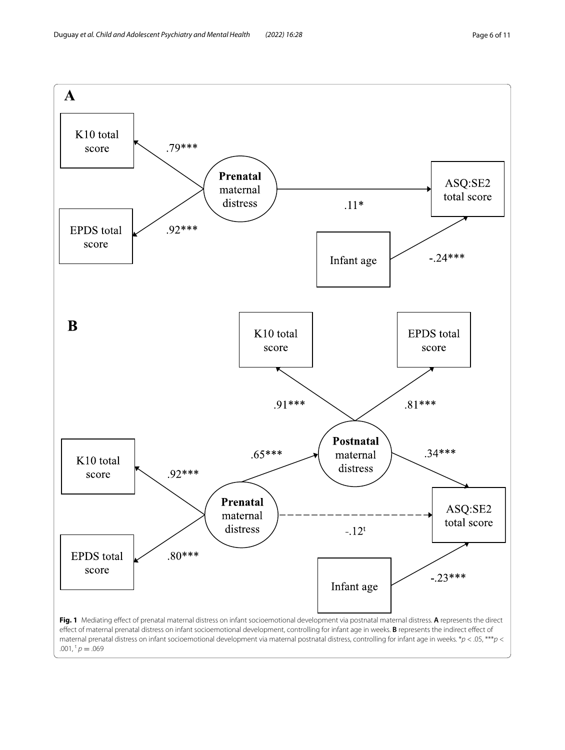<span id="page-5-0"></span>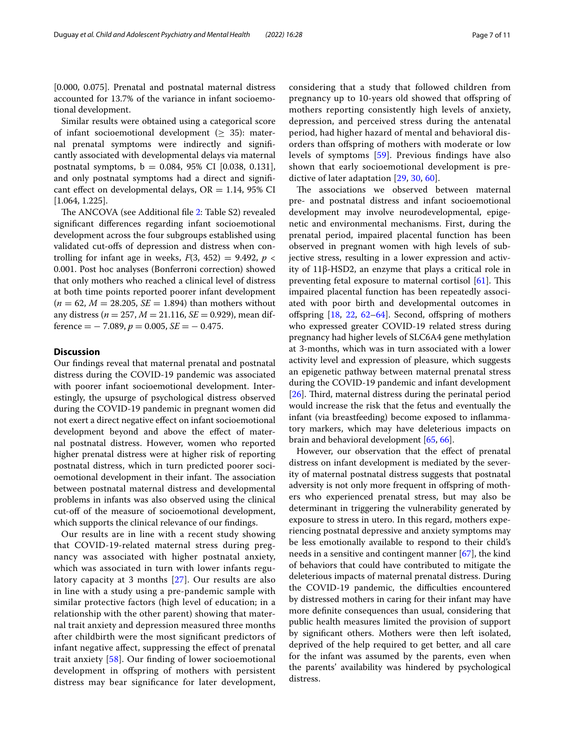[0.000, 0.075]. Prenatal and postnatal maternal distress accounted for 13.7% of the variance in infant socioemotional development.

Similar results were obtained using a categorical score of infant socioemotional development ( $\geq$  35): maternal prenatal symptoms were indirectly and signifcantly associated with developmental delays via maternal postnatal symptoms,  $b = 0.084$ , 95% CI [0.038, 0.131], and only postnatal symptoms had a direct and signifcant effect on developmental delays,  $OR = 1.14$ , 95% CI [1.064, 1.225].

The ANCOVA (see Additional file [2](#page-8-13): Table S2) revealed signifcant diferences regarding infant socioemotional development across the four subgroups established using validated cut-ofs of depression and distress when controlling for infant age in weeks,  $F(3, 452) = 9.492$ ,  $p <$ 0.001. Post hoc analyses (Bonferroni correction) showed that only mothers who reached a clinical level of distress at both time points reported poorer infant development  $(n = 62, M = 28.205, SE = 1.894)$  than mothers without any distress ( $n = 257$ ,  $M = 21.116$ ,  $SE = 0.929$ ), mean dif $f$ erence =  $-7.089$ ,  $p = 0.005$ ,  $SE = -0.475$ .

#### **Discussion**

Our fndings reveal that maternal prenatal and postnatal distress during the COVID-19 pandemic was associated with poorer infant socioemotional development. Interestingly, the upsurge of psychological distress observed during the COVID-19 pandemic in pregnant women did not exert a direct negative efect on infant socioemotional development beyond and above the efect of maternal postnatal distress. However, women who reported higher prenatal distress were at higher risk of reporting postnatal distress, which in turn predicted poorer socioemotional development in their infant. The association between postnatal maternal distress and developmental problems in infants was also observed using the clinical cut-of of the measure of socioemotional development, which supports the clinical relevance of our fndings.

Our results are in line with a recent study showing that COVID-19-related maternal stress during pregnancy was associated with higher postnatal anxiety, which was associated in turn with lower infants regulatory capacity at 3 months [[27](#page-9-6)]. Our results are also in line with a study using a pre-pandemic sample with similar protective factors (high level of education; in a relationship with the other parent) showing that maternal trait anxiety and depression measured three months after childbirth were the most signifcant predictors of infant negative afect, suppressing the efect of prenatal trait anxiety [[58](#page-9-36)]. Our fnding of lower socioemotional development in ofspring of mothers with persistent distress may bear signifcance for later development, considering that a study that followed children from pregnancy up to 10-years old showed that ofspring of mothers reporting consistently high levels of anxiety, depression, and perceived stress during the antenatal period, had higher hazard of mental and behavioral disorders than ofspring of mothers with moderate or low levels of symptoms [\[59\]](#page-9-37). Previous fndings have also shown that early socioemotional development is predictive of later adaptation [\[29,](#page-9-8) [30](#page-9-9), [60](#page-9-38)].

The associations we observed between maternal pre- and postnatal distress and infant socioemotional development may involve neurodevelopmental, epigenetic and environmental mechanisms. First, during the prenatal period, impaired placental function has been observed in pregnant women with high levels of subjective stress, resulting in a lower expression and activity of 11β-HSD2, an enzyme that plays a critical role in preventing fetal exposure to maternal cortisol  $[61]$  $[61]$  $[61]$ . This impaired placental function has been repeatedly associated with poor birth and developmental outcomes in offspring  $[18, 22, 62-64]$  $[18, 22, 62-64]$  $[18, 22, 62-64]$  $[18, 22, 62-64]$  $[18, 22, 62-64]$  $[18, 22, 62-64]$  $[18, 22, 62-64]$ . Second, offspring of mothers who expressed greater COVID-19 related stress during pregnancy had higher levels of SLC6A4 gene methylation at 3-months, which was in turn associated with a lower activity level and expression of pleasure, which suggests an epigenetic pathway between maternal prenatal stress during the COVID-19 pandemic and infant development [[26\]](#page-9-5). Third, maternal distress during the perinatal period would increase the risk that the fetus and eventually the infant (via breastfeeding) become exposed to infammatory markers, which may have deleterious impacts on brain and behavioral development [[65](#page-9-42), [66\]](#page-9-43).

However, our observation that the effect of prenatal distress on infant development is mediated by the severity of maternal postnatal distress suggests that postnatal adversity is not only more frequent in ofspring of mothers who experienced prenatal stress, but may also be determinant in triggering the vulnerability generated by exposure to stress in utero. In this regard, mothers experiencing postnatal depressive and anxiety symptoms may be less emotionally available to respond to their child's needs in a sensitive and contingent manner [\[67\]](#page-9-44), the kind of behaviors that could have contributed to mitigate the deleterious impacts of maternal prenatal distress. During the COVID-19 pandemic, the difficulties encountered by distressed mothers in caring for their infant may have more defnite consequences than usual, considering that public health measures limited the provision of support by signifcant others. Mothers were then left isolated, deprived of the help required to get better, and all care for the infant was assumed by the parents, even when the parents' availability was hindered by psychological distress.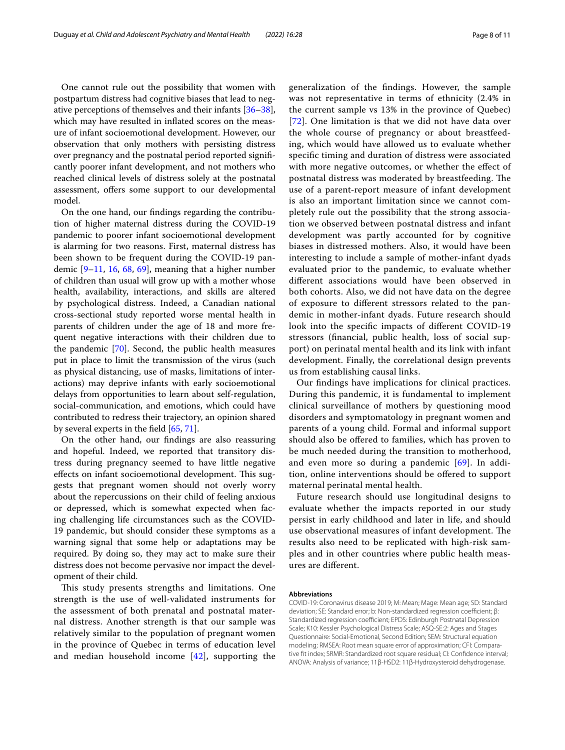One cannot rule out the possibility that women with postpartum distress had cognitive biases that lead to negative perceptions of themselves and their infants [[36](#page-9-15)[–38](#page-9-16)], which may have resulted in infated scores on the measure of infant socioemotional development. However, our observation that only mothers with persisting distress over pregnancy and the postnatal period reported signifcantly poorer infant development, and not mothers who reached clinical levels of distress solely at the postnatal assessment, offers some support to our developmental model.

On the one hand, our fndings regarding the contribution of higher maternal distress during the COVID-19 pandemic to poorer infant socioemotional development is alarming for two reasons. First, maternal distress has been shown to be frequent during the COVID-19 pandemic [\[9–](#page-8-7)[11,](#page-8-14) [16,](#page-8-15) [68](#page-10-0), [69](#page-10-1)], meaning that a higher number of children than usual will grow up with a mother whose health, availability, interactions, and skills are altered by psychological distress. Indeed, a Canadian national cross-sectional study reported worse mental health in parents of children under the age of 18 and more frequent negative interactions with their children due to the pandemic [\[70\]](#page-10-2). Second, the public health measures put in place to limit the transmission of the virus (such as physical distancing, use of masks, limitations of interactions) may deprive infants with early socioemotional delays from opportunities to learn about self-regulation, social-communication, and emotions, which could have contributed to redress their trajectory, an opinion shared by several experts in the feld [\[65](#page-9-42), [71\]](#page-10-3).

On the other hand, our fndings are also reassuring and hopeful. Indeed, we reported that transitory distress during pregnancy seemed to have little negative effects on infant socioemotional development. This suggests that pregnant women should not overly worry about the repercussions on their child of feeling anxious or depressed, which is somewhat expected when facing challenging life circumstances such as the COVID-19 pandemic, but should consider these symptoms as a warning signal that some help or adaptations may be required. By doing so, they may act to make sure their distress does not become pervasive nor impact the development of their child.

This study presents strengths and limitations. One strength is the use of well-validated instruments for the assessment of both prenatal and postnatal maternal distress. Another strength is that our sample was relatively similar to the population of pregnant women in the province of Quebec in terms of education level and median household income [[42](#page-9-20)], supporting the generalization of the fndings. However, the sample was not representative in terms of ethnicity (2.4% in the current sample vs 13% in the province of Quebec) [[72](#page-10-4)]. One limitation is that we did not have data over the whole course of pregnancy or about breastfeeding, which would have allowed us to evaluate whether specifc timing and duration of distress were associated with more negative outcomes, or whether the effect of postnatal distress was moderated by breastfeeding. The use of a parent‐report measure of infant development is also an important limitation since we cannot completely rule out the possibility that the strong association we observed between postnatal distress and infant development was partly accounted for by cognitive biases in distressed mothers. Also, it would have been interesting to include a sample of mother-infant dyads evaluated prior to the pandemic, to evaluate whether diferent associations would have been observed in both cohorts. Also, we did not have data on the degree of exposure to diferent stressors related to the pandemic in mother-infant dyads. Future research should look into the specifc impacts of diferent COVID-19 stressors (fnancial, public health, loss of social support) on perinatal mental health and its link with infant development. Finally, the correlational design prevents us from establishing causal links.

Our fndings have implications for clinical practices. During this pandemic, it is fundamental to implement clinical surveillance of mothers by questioning mood disorders and symptomatology in pregnant women and parents of a young child. Formal and informal support should also be ofered to families, which has proven to be much needed during the transition to motherhood, and even more so during a pandemic [\[69](#page-10-1)]. In addition, online interventions should be ofered to support maternal perinatal mental health.

Future research should use longitudinal designs to evaluate whether the impacts reported in our study persist in early childhood and later in life, and should use observational measures of infant development. The results also need to be replicated with high-risk samples and in other countries where public health measures are diferent.

#### **Abbreviations**

COVID-19: Coronavirus disease 2019; M: Mean; Mage: Mean age; SD: Standard deviation; SE: Standard error; b: Non-standardized regression coefficient; β: Standardized regression coefficient; EPDS: Edinburgh Postnatal Depression Scale; K10: Kessler Psychological Distress Scale; ASQ-SE:2: Ages and Stages Questionnaire: Social-Emotional, Second Edition; SEM: Structural equation modeling; RMSEA: Root mean square error of approximation; CFI: Compara‑ tive ft index; SRMR: Standardized root square residual; CI: Confdence interval; ANOVA: Analysis of variance; 11β-HSD2: 11β-Hydroxysteroid dehydrogenase.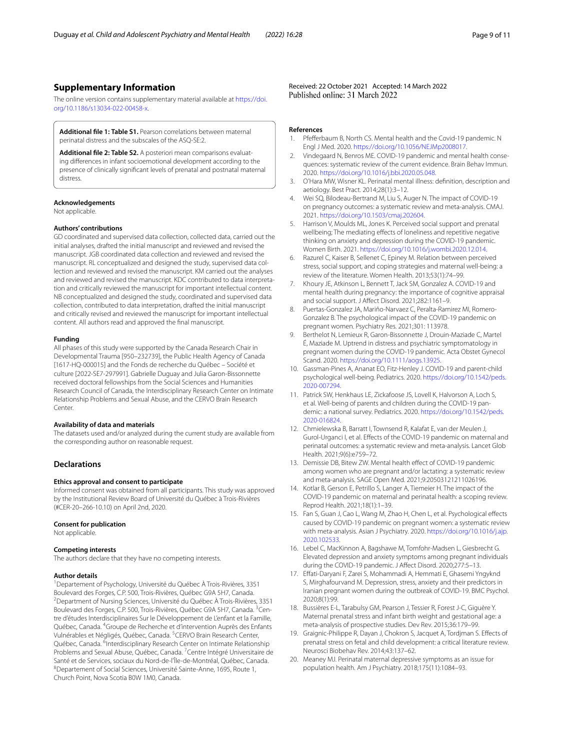#### **Supplementary Information**

The online version contains supplementary material available at [https://doi.](https://doi.org/10.1186/s13034-022-00458-x) [org/10.1186/s13034-022-00458-x.](https://doi.org/10.1186/s13034-022-00458-x)

<span id="page-8-13"></span><span id="page-8-12"></span>**Additional fle 1: Table S1.** Pearson correlations between maternal perinatal distress and the subscales of the ASQ-SE:2.

**Additional fle 2: Table S2.** A posteriori mean comparisons evaluat‑ ing diferences in infant socioemotional development according to the presence of clinically signifcant levels of prenatal and postnatal maternal distress.

#### **Acknowledgements**

Not applicable.

#### **Authors' contributions**

GD coordinated and supervised data collection, collected data, carried out the initial analyses, drafted the initial manuscript and reviewed and revised the manuscript. JGB coordinated data collection and reviewed and revised the manuscript. RL conceptualized and designed the study, supervised data collection and reviewed and revised the manuscript. KM carried out the analyses and reviewed and revised the manuscript. KDC contributed to data interpretation and critically reviewed the manuscript for important intellectual content. NB conceptualized and designed the study, coordinated and supervised data collection, contributed to data interpretation, drafted the initial manuscript and critically revised and reviewed the manuscript for important intellectual content. All authors read and approved the fnal manuscript.

#### **Funding**

All phases of this study were supported by the Canada Research Chair in Developmental Trauma [950–232739], the Public Health Agency of Canada [1617-HQ-000015] and the Fonds de recherche du Québec – Société et culture [2022-SE7-297991]. Gabrielle Duguay and Julia Garon-Bissonnette received doctoral fellowships from the Social Sciences and Humanities Research Council of Canada, the Interdisciplinary Research Center on Intimate Relationship Problems and Sexual Abuse, and the CERVO Brain Research Center.

#### **Availability of data and materials**

The datasets used and/or analyzed during the current study are available from the corresponding author on reasonable request.

#### **Declarations**

#### **Ethics approval and consent to participate**

Informed consent was obtained from all participants. This study was approved by the Institutional Review Board of Université du Québec à Trois-Rivières (#CER-20–266-10.10) on April 2nd, 2020.

#### **Consent for publication**

Not applicable.

#### **Competing interests**

The authors declare that they have no competing interests.

#### **Author details**

<sup>1</sup> Departement of Psychology, Université du Québec À Trois-Rivières, 3351 Boulevard des Forges, C.P. 500, Trois‑Rivières, Québec G9A 5H7, Canada. 2 Department of Nursing Sciences, Université du Québec À Trois-Rivières, 3351 Boulevard des Forges, C.P. 500, Trois-Rivières, Québec G9A 5H7, Canada. <sup>3</sup>Centre d'études Interdisciplinaires Sur le Développement de L'enfant et la Famille, Québec, Canada. <sup>4</sup> Groupe de Recherche et d'intervention Auprès des Enfants Vulnérables et Négligés, Québec, Canada. <sup>5</sup>CERVO Brain Research Center, Québec, Canada. <sup>6</sup>Interdisciplinary Research Center on Intimate Relationship Problems and Sexual Abuse, Québec, Canada. <sup>7</sup> Centre Intégré Universitaire de Santé et de Services, sociaux du Nord‑de‑l'Île‑de‑Montréal, Québec, Canada. <sup>8</sup>Departement of Social Sciences, Université Sainte-Anne, 1695, Route 1, Church Point, Nova Scotia B0W 1M0, Canada.

Received: 22 October 2021 Accepted: 14 March 2022

#### **References**

- <span id="page-8-0"></span>1. Pfeferbaum B, North CS. Mental health and the Covid-19 pandemic. N Engl J Med. 2020. <https://doi.org/10.1056/NEJMp2008017>.
- <span id="page-8-1"></span>2. Vindegaard N, Benros ME. COVID-19 pandemic and mental health consequences: systematic review of the current evidence. Brain Behav Immun. 2020. [https://doi.org/10.1016/j.bbi.2020.05.048.](https://doi.org/10.1016/j.bbi.2020.05.048)
- <span id="page-8-2"></span>3. O'Hara MW, Wisner KL. Perinatal mental illness: defnition, description and aetiology. Best Pract. 2014;28(1):3–12.
- <span id="page-8-3"></span>4. Wei SQ, Bilodeau-Bertrand M, Liu S, Auger N. The impact of COVID-19 on pregnancy outcomes: a systematic review and meta-analysis. CMAJ. 2021. [https://doi.org/10.1503/cmaj.202604.](https://doi.org/10.1503/cmaj.202604)
- <span id="page-8-4"></span>5. Harrison V, Moulds ML, Jones K. Perceived social support and prenatal wellbeing; The mediating effects of loneliness and repetitive negative thinking on anxiety and depression during the COVID-19 pandemic. Women Birth. 2021. <https://doi.org/10.1016/j.wombi.2020.12.014>.
- <span id="page-8-5"></span>6. Razurel C, Kaiser B, Sellenet C, Epiney M. Relation between perceived stress, social support, and coping strategies and maternal well-being: a review of the literature. Women Health. 2013;53(1):74–99.
- 7. Khoury JE, Atkinson L, Bennett T, Jack SM, Gonzalez A. COVID-19 and mental health during pregnancy: the importance of cognitive appraisal and social support. J Afect Disord. 2021;282:1161–9.
- <span id="page-8-6"></span>8. Puertas-Gonzalez JA, Mariño-Narvaez C, Peralta-Ramirez MI, Romero-Gonzalez B. The psychological impact of the COVID-19 pandemic on pregnant women. Psychiatry Res. 2021;301: 113978.
- <span id="page-8-7"></span>9. Berthelot N, Lemieux R, Garon-Bissonnette J, Drouin-Maziade C, Martel É, Maziade M. Uptrend in distress and psychiatric symptomatology in pregnant women during the COVID-19 pandemic. Acta Obstet Gynecol Scand. 2020. <https://doi.org/10.1111/aogs.13925>.
- 10. Gassman-Pines A, Ananat EO, Fitz-Henley J. COVID-19 and parent-child psychological well-being. Pediatrics. 2020. [https://doi.org/10.1542/peds.](https://doi.org/10.1542/peds.2020-007294) [2020-007294.](https://doi.org/10.1542/peds.2020-007294)
- <span id="page-8-14"></span>11. Patrick SW, Henkhaus LE, Zickafoose JS, Lovell K, Halvorson A, Loch S, et al. Well-being of parents and children during the COVID-19 pandemic: a national survey. Pediatrics. 2020. [https://doi.org/10.1542/peds.](https://doi.org/10.1542/peds.2020-016824) [2020-016824.](https://doi.org/10.1542/peds.2020-016824)
- 12. Chmielewska B, Barratt I, Townsend R, Kalafat E, van der Meulen J, Gurol-Urganci I, et al. Efects of the COVID-19 pandemic on maternal and perinatal outcomes: a systematic review and meta-analysis. Lancet Glob Health. 2021;9(6):e759–72.
- <span id="page-8-8"></span>13. Demissie DB, Bitew ZW. Mental health effect of COVID-19 pandemic among women who are pregnant and/or lactating: a systematic review and meta-analysis. SAGE Open Med. 2021;9:20503121211026196.
- <span id="page-8-9"></span>14. Kotlar B, Gerson E, Petrillo S, Langer A, Tiemeier H. The impact of the COVID-19 pandemic on maternal and perinatal health: a scoping review. Reprod Health. 2021;18(1):1–39.
- 15. Fan S, Guan J, Cao L, Wang M, Zhao H, Chen L, et al. Psychological efects caused by COVID-19 pandemic on pregnant women: a systematic review with meta-analysis. Asian J Psychiatry. 2020. [https://doi.org/10.1016/j.ajp.](https://doi.org/10.1016/j.ajp.2020.102533) [2020.102533.](https://doi.org/10.1016/j.ajp.2020.102533)
- <span id="page-8-15"></span>16. Lebel C, MacKinnon A, Bagshawe M, Tomfohr-Madsen L, Giesbrecht G. Elevated depression and anxiety symptoms among pregnant individuals during the COVID-19 pandemic. J Afect Disord. 2020;277:5–13.
- <span id="page-8-10"></span>17. Efati-Daryani F, Zarei S, Mohammadi A, Hemmati E, Ghasemi Yngyknd S, Mirghafourvand M. Depression, stress, anxiety and their predictors in Iranian pregnant women during the outbreak of COVID-19. BMC Psychol. 2020;8(1):99.
- <span id="page-8-11"></span>18. Bussières E-L, Tarabulsy GM, Pearson J, Tessier R, Forest J-C, Giguère Y. Maternal prenatal stress and infant birth weight and gestational age: a meta-analysis of prospective studies. Dev Rev. 2015;36:179–99.
- 19. Graignic-Philippe R, Dayan J, Chokron S, Jacquet A, Tordjman S. Efects of prenatal stress on fetal and child development: a critical literature review. Neurosci Biobehav Rev. 2014;43:137–62.
- 20. Meaney MJ. Perinatal maternal depressive symptoms as an issue for population health. Am J Psychiatry. 2018;175(11):1084–93.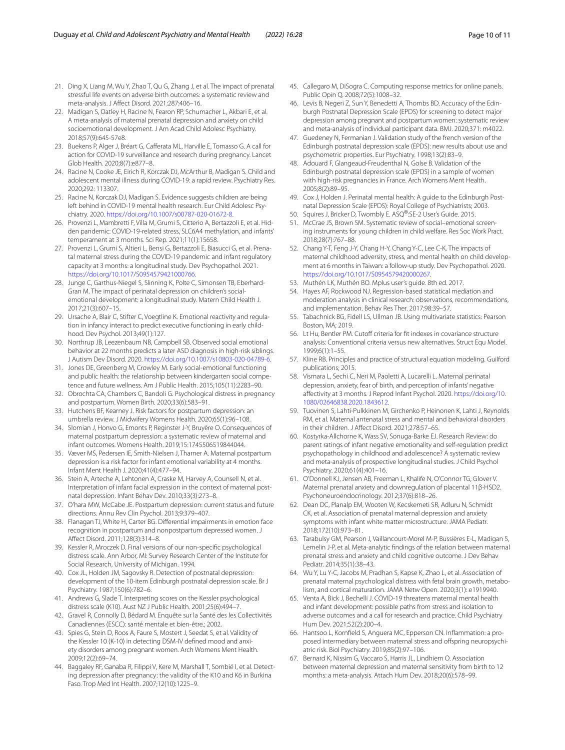- <span id="page-9-0"></span>21. Ding X, Liang M, Wu Y, Zhao T, Qu G, Zhang J, et al. The impact of prenatal stressful life events on adverse birth outcomes: a systematic review and meta-analysis. J Afect Disord. 2021;287:406–16.
- <span id="page-9-1"></span>22. Madigan S, Oatley H, Racine N, Fearon RP, Schumacher L, Akbari E, et al. A meta-analysis of maternal prenatal depression and anxiety on child socioemotional development. J Am Acad Child Adolesc Psychiatry. 2018;57(9):645-57e8.
- <span id="page-9-2"></span>23. Buekens P, Alger J, Bréart G, Cafferata ML, Harville E, Tomasso G. A call for action for COVID-19 surveillance and research during pregnancy. Lancet Glob Health. 2020;8(7):e877–8.
- <span id="page-9-3"></span>24. Racine N, Cooke JE, Eirich R, Korczak DJ, McArthur B, Madigan S. Child and adolescent mental illness during COVID-19: a rapid review. Psychiatry Res. 2020;292: 113307.
- <span id="page-9-4"></span>25. Racine N, Korczak DJ, Madigan S. Evidence suggests children are being left behind in COVID-19 mental health research. Eur Child Adolesc Psychiatry. 2020. [https://doi.org/10.1007/s00787-020-01672-8.](https://doi.org/10.1007/s00787-020-01672-8)
- <span id="page-9-5"></span>26. Provenzi L, Mambretti F, Villa M, Grumi S, Citterio A, Bertazzoli E, et al. Hidden pandemic: COVID-19-related stress, SLC6A4 methylation, and infants' temperament at 3 months. Sci Rep. 2021;11(1):15658.
- <span id="page-9-6"></span>27. Provenzi L, Grumi S, Altieri L, Bensi G, Bertazzoli E, Biasucci G, et al. Prenatal maternal stress during the COVID-19 pandemic and infant regulatory capacity at 3 months: a longitudinal study. Dev Psychopathol. 2021. [https://doi.org/10.1017/S0954579421000766.](https://doi.org/10.1017/S0954579421000766)
- <span id="page-9-7"></span>28. Junge C, Garthus-Niegel S, Slinning K, Polte C, Simonsen TB, Eberhard-Gran M. The impact of perinatal depression on children's socialemotional development: a longitudinal study. Matern Child Health J. 2017;21(3):607–15.
- <span id="page-9-8"></span>29. Ursache A, Blair C, Stifter C, Voegtline K. Emotional reactivity and regulation in infancy interact to predict executive functioning in early childhood. Dev Psychol. 2013;49(1):127.
- <span id="page-9-9"></span>30. Northrup JB, Leezenbaum NB, Campbell SB. Observed social emotional behavior at 22 months predicts a later ASD diagnosis in high-risk siblings. J Autism Dev Disord. 2020. [https://doi.org/10.1007/s10803-020-04789-6.](https://doi.org/10.1007/s10803-020-04789-6)
- <span id="page-9-10"></span>31. Jones DE, Greenberg M, Crowley M. Early social-emotional functioning and public health: the relationship between kindergarten social competence and future wellness. Am J Public Health. 2015;105(11):2283–90.
- <span id="page-9-11"></span>32. Obrochta CA, Chambers C, Bandoli G. Psychological distress in pregnancy and postpartum. Women Birth. 2020;33(6):583–91.
- <span id="page-9-12"></span>33. Hutchens BF, Kearney J. Risk factors for postpartum depression: an umbrella review. J Midwifery Womens Health. 2020;65(1):96–108.
- <span id="page-9-13"></span>34. Slomian J, Honvo G, Emonts P, Reginster J-Y, Bruyère O. Consequences of maternal postpartum depression: a systematic review of maternal and infant outcomes. Womens Health. 2019;15:1745506519844044.
- <span id="page-9-14"></span>35. Væver MS, Pedersen IE, Smith-Nielsen J, Tharner A. Maternal postpartum depression is a risk factor for infant emotional variability at 4 months. Infant Ment Health J. 2020;41(4):477–94.
- <span id="page-9-15"></span>36. Stein A, Arteche A, Lehtonen A, Craske M, Harvey A, Counsell N, et al. Interpretation of infant facial expression in the context of maternal postnatal depression. Infant Behav Dev. 2010;33(3):273–8.
- 37. O'hara MW, McCabe JE. Postpartum depression: current status and future directions. Annu Rev Clin Psychol. 2013;9:379–407.
- <span id="page-9-16"></span>38. Flanagan TJ, White H, Carter BG. Diferential impairments in emotion face recognition in postpartum and nonpostpartum depressed women. J Afect Disord. 2011;128(3):314–8.
- <span id="page-9-17"></span>39. Kessler R, Mroczek D. Final versions of our non-specifc psychological distress scale. Ann Arbor, MI: Survey Research Center of the Institute for Social Research, University of Michigan. 1994.
- <span id="page-9-18"></span>40. Cox JL, Holden JM, Sagovsky R. Detection of postnatal depression: development of the 10-item Edinburgh postnatal depression scale. Br J Psychiatry. 1987;150(6):782–6.
- <span id="page-9-19"></span>41. Andrews G, Slade T. Interpreting scores on the Kessler psychological distress scale (K10). Aust NZ J Public Health. 2001;25(6):494–7.
- <span id="page-9-20"></span>42. Gravel R, Connolly D, Bédard M. Enquête sur la Santé des les Collectivités Canadiennes (ESCC): santé mentale et bien-être.; 2002.
- <span id="page-9-21"></span>43. Spies G, Stein D, Roos A, Faure S, Mostert J, Seedat S, et al. Validity of the Kessler 10 (K-10) in detecting DSM-IV defined mood and anxiety disorders among pregnant women. Arch Womens Ment Health. 2009;12(2):69–74.
- <span id="page-9-22"></span>44. Baggaley RF, Ganaba R, Filippi V, Kere M, Marshall T, Sombié I, et al. Detecting depression after pregnancy: the validity of the K10 and K6 in Burkina Faso. Trop Med Int Health. 2007;12(10):1225–9.
- <span id="page-9-23"></span>45. Callegaro M, DiSogra C. Computing response metrics for online panels. Public Opin Q. 2008;72(5):1008–32.
- <span id="page-9-24"></span>46. Levis B, Negeri Z, Sun Y, Benedetti A, Thombs BD. Accuracy of the Edinburgh Postnatal Depression Scale (EPDS) for screening to detect major depression among pregnant and postpartum women: systematic review and meta-analysis of individual participant data. BMJ. 2020;371: m4022.
- <span id="page-9-25"></span>47. Guedeney N, Fermanian J. Validation study of the french version of the Edinburgh postnatal depression scale (EPDS): new results about use and psychometric properties. Eur Psychiatry. 1998;13(2):83–9.
- <span id="page-9-26"></span>48. Adouard F, Glangeaud-Freudenthal N, Golse B. Validation of the Edinburgh postnatal depression scale (EPDS) in a sample of women with high-risk pregnancies in France. Arch Womens Ment Health. 2005;8(2):89–95.
- <span id="page-9-27"></span>49. Cox J, Holden J. Perinatal mental health: A guide to the Edinburgh Postnatal Depression Scale (EPDS): Royal College of Psychiatrists; 2003.
- <span id="page-9-28"></span>50. Squires J, Bricker D, Twombly E. ASQ®:SE-2 User's Guide. 2015.
- <span id="page-9-29"></span>51. McCrae JS, Brown SM. Systematic review of social–emotional screening instruments for young children in child welfare. Res Soc Work Pract. 2018;28(7):767–88.
- <span id="page-9-30"></span>52. Chang Y-T, Feng J-Y, Chang H-Y, Chang Y-C, Lee C-K. The impacts of maternal childhood adversity, stress, and mental health on child development at 6 months in Taiwan: a follow-up study. Dev Psychopathol. 2020. [https://doi.org/10.1017/S0954579420000267.](https://doi.org/10.1017/S0954579420000267)
- <span id="page-9-31"></span>53. Muthén LK, Muthén BO. Mplus user's guide. 8th ed. 2017.
- <span id="page-9-32"></span>54. Hayes AF, Rockwood NJ. Regression-based statistical mediation and moderation analysis in clinical research: observations, recommendations, and implementation. Behav Res Ther. 2017;98:39–57.
- <span id="page-9-33"></span>55. Tabachnick BG, Fidell LS, Ullman JB. Using multivariate statistics: Pearson Boston, MA; 2019.
- <span id="page-9-34"></span>56. Lt Hu, Bentler PM. Cutoff criteria for fit indexes in covariance structure analysis: Conventional criteria versus new alternatives. Struct Equ Model. 1999;6(1):1–55.
- <span id="page-9-35"></span>57. Kline RB. Principles and practice of structural equation modeling. Guilford publications; 2015.
- <span id="page-9-36"></span>58. Vismara L, Sechi C, Neri M, Paoletti A, Lucarelli L. Maternal perinatal depression, anxiety, fear of birth, and perception of infants' negative afectivity at 3 months. J Reprod Infant Psychol. 2020. [https://doi.org/10.](https://doi.org/10.1080/02646838.2020.1843612) [1080/02646838.2020.1843612](https://doi.org/10.1080/02646838.2020.1843612).
- <span id="page-9-37"></span>59. Tuovinen S, Lahti-Pulkkinen M, Girchenko P, Heinonen K, Lahti J, Reynolds RM, et al. Maternal antenatal stress and mental and behavioral disorders in their children. J Afect Disord. 2021;278:57–65.
- <span id="page-9-38"></span>60. Kostyrka-Allchorne K, Wass SV, Sonuga-Barke EJ. Research Review: do parent ratings of infant negative emotionality and self-regulation predict psychopathology in childhood and adolescence? A systematic review and meta-analysis of prospective longitudinal studies. J Child Psychol Psychiatry. 2020;61(4):401–16.
- <span id="page-9-39"></span>61. O'Donnell KJ, Jensen AB, Freeman L, Khalife N, O'Connor TG, Glover V. Maternal prenatal anxiety and downregulation of placental 11β-HSD2. Psychoneuroendocrinology. 2012;37(6):818–26.
- <span id="page-9-40"></span>62. Dean DC, Planalp EM, Wooten W, Kecskemeti SR, Adluru N, Schmidt CK, et al. Association of prenatal maternal depression and anxiety symptoms with infant white matter microstructure. JAMA Pediatr. 2018;172(10):973–81.
- 63. Tarabulsy GM, Pearson J, Vaillancourt-Morel M-P, Bussières E-L, Madigan S, Lemelin J-P, et al. Meta-analytic fndings of the relation between maternal prenatal stress and anxiety and child cognitive outcome. J Dev Behav Pediatr. 2014;35(1):38–43.
- <span id="page-9-41"></span>64. Wu Y, Lu Y-C, Jacobs M, Pradhan S, Kapse K, Zhao L, et al. Association of prenatal maternal psychological distress with fetal brain growth, metabolism, and cortical maturation. JAMA Netw Open. 2020;3(1): e1919940.
- <span id="page-9-42"></span>65. Venta A, Bick J, Bechelli J. COVID-19 threatens maternal mental health and infant development: possible paths from stress and isolation to adverse outcomes and a call for research and practice. Child Psychiatry Hum Dev. 2021;52(2):200–4.
- <span id="page-9-43"></span>66. Hantsoo L, Kornfeld S, Anguera MC, Epperson CN. Infammation: a pro‑ posed intermediary between maternal stress and offspring neuropsychiatric risk. Biol Psychiatry. 2019;85(2):97–106.
- <span id="page-9-44"></span>67. Bernard K, Nissim G, Vaccaro S, Harris JL, Lindhiem O. Association between maternal depression and maternal sensitivity from birth to 12 months: a meta-analysis. Attach Hum Dev. 2018;20(6):578–99.